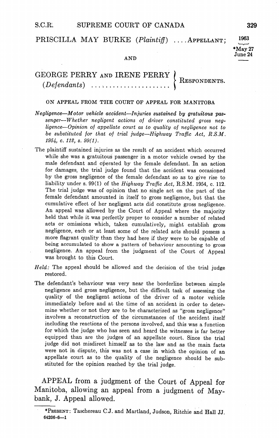# PRISCILLA MAY BURKE  $(Plaintiff)$  ... APPELLANT;

## 1963 May 27  $June 24$

#### AND

# GEORGE PERRY AND IRENE PERRY RESPONDENTS Defendants

### ON APPEAL FROM THE COURT OF APPEAL FOR MANITOBA

- $Neglique$ —Motor vehicle accident—Injuries sustained by gratuitous passenger-Whether negligent actions of driver constituted gross negligence—Opinion of appellate court as to quality of negligence not to be substituted for that of trial judge—Highway Traffic Act,  $R.S.M.$ 1954, c. 112, s.  $99(1)$ .
- The plaintiff sustained injuries as the result of an accident which occurred while she was a gratuitous passenger in a motor vehicle owned by the male defendant and operated by the female defendant. In an action for damages, the trial judge found that the accident was occasioned by the gross negligence of the female defendant so as to give rise to liability under s. 99(1) of the Highway Traffic Act, R.S.M. 1954, c. 112. The trial judge was of opinion that no single act on the part of the female defendant amounted in itself to gross negligence, but that the cumulative effect of her negligent acts did constitute gross negligence An appeal was allowed by the Court of Appeal where the majority held that while it was perfectly proper to consider a number of related acts or omissions which, taken cumulatively, might establish gross negligence, each or at least some of the related acts should possess a more flagrant quality than they had here if they were to be capable of being accumulated to show a pattern of behaviour amounting to gross negligence An appeal from the judgment of the Court of Appeal was brought to this Court
- $Held$ : The appeal should be allowed and the decision of the trial judge restored
- The defendant's behaviour was very near the borderline between simple negligence and gross negligence but the difficult task of assessing the quality of the negligent actions of the driver of a motor vehicle immediately before and at the time of an accident in order to deter mine whether or not they are to be characterized as "gross negligence" involves a reconstruction of the circumstances of the accident itself including the reactions of the persons involved, and this was a function for which the judge who has seen and heard the witnesses is far better equipped than are the judges of an appellate court Since the trial judge did not misdirect himself as to the law and as the main facts were not in dispute, this was not a case in which the opinion of an appellate court as to the quality of the negligence should be sub stituted for the opinion reached by the trial judge

APPEAL from a judgment of the Court of Appeal for Manitoba, allowing an appeal from a judgment of Maybank, J. Appeal allowed.

<sup>\*</sup>PRESENT: Taschereau C.J. and Martland, Judson, Ritchie and Hall JJ. 64206-6-1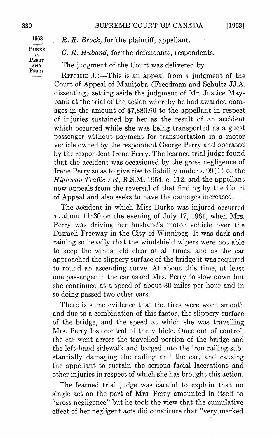1963 BURKE  $v_{\cdot}$ PERRY PERRY

 $B \subset R$ . *Brock*, for the plaintiff, appellant.

 $C. R. Hubbard, for the defendants, respondents.$ 

AND The judgment of the Court was delivered by

RITCHIE J.:—This is an appeal from a judgment of the Court of Appeal of Manitoba (Freedman and Schultz JJ.A. dissenting) setting aside the judgment of Mr. Justice Maybank at the trial of the action whereby he had awarded dam ages in the amount of \$7880.90 to the appellant in respect of injuries sustained by her as the result of an accident which occurred while she was being transported as a guest passenger without payment for transportation in a motor vehicle owned by the respondent George Perry and operated by the respondent Irene Perry. The learned trial judge found that the accident was occasioned by the gross negligence of Irene Perry so as to give rise to liability under s.  $99(1)$  of the Highway Traffic Act, R.S.M. 1954, c. 112, and the appellant now appeals from the reversal of that finding by the Court of Appeal and also seeks to have the damages increased

The accident in which Miss Burke was injured occurred at about  $11:30$  on the evening of July 17, 1961, when Mrs. Perry was driving her husband's motor vehicle over the Disraeli Freeway in the City of Winnipeg. It was dark and raining so heavily that the windshield wipers were not able to keep the windshield clear at all times, and as the car approached the slippery surface of the bridge it was required to round an ascending curve. At about this time, at least one passenger in the car asked Mrs. Perry to slow down but she continued at speed of about 30 miles per hour and in so doing passed two other cars

There is some evidence that the tires were worn smooth and due to a combination of this factor, the slippery surface of the bridge and the speed at which she was travelling Mrs. Perry lost control of the vehicle. Once out of control, the car went across the travelled portion of the bridge and the left-hand sidewalk and barged into the iron railing sub stantially damaging the railing and the car, and causing the appellant to sustain the serious facial lacerations and other injuries in respect of which she has brought this action

The learned trial judge was careful to explain that no single act on the part of Mrs. Perry amounted in itself to "gross negligence" but he took the view that the cumulative effect of her negligent acts did constitute that "very marked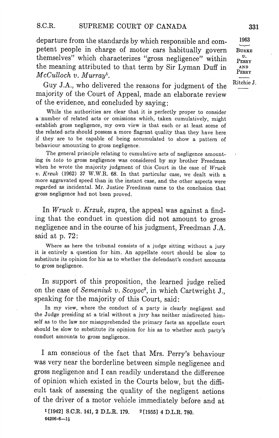departure from the standards by which responsible and competent people in charge of motor cars habitually govern BURKE themselves" which characterizes "gross negligence" within  $v_{\text{ERRY}}$ the meaning attributed to that term by Sir Lyman Duff in  $McCulloch$  v. Murray<sup>1</sup>.

Guy J.A., who delivered the reasons for judgment of the  $\frac{\text{Ritchie J.}}{\sim}$ majority of the Court of Appeal, made an elaborate review of the evidence, and concluded by saying:

While the authorities are clear that it is perfectly proper to consider a number of related acts or omissions which, taken cumulatively, might establish gross negligence, my own view is that each or at least some of the related acts should possess more flagrant quality than they have here if they are to be capable of being accumulated to show a pattern of behaviour amounting to gross negligence

The general principle relating to cumulative acts of negligence amount mg in toto to gross negligence was considered by my brother Freedman when he wrote the majority judgment of this Court in the case of Wruck v. Krzuk (1962) 37 W.W.R. 68. In that particular case, we dealt with a more aggravated speed than in the instant case, and the other aspects were regarded as incidental. Mr. Justice Freedman came to the conclusion that gross negligence had not been proved

In Wruck v. Krzuk, supra, the appeal was against a finding that the conduct in question did not amount to gross negligence and in the course of his judgment, Freedman J.A. said at  $p. 72$ :

Where as here the tribunal consists of a judge sitting without a jury it is entirely a question for him. An appellate court should be slow to substitute its opinion for his as to whether the defendant's conduct amounts to gross negligence

In support of this proposition, the learned judge relied on the case of Semeniuk v. Scoyoc<sup>2</sup>, in which Cartwright J., speaking for the majority of this Court, said:

In my view, where the conduct of a party is clearly negligent and the Judge presiding at a trial without a jury has neither misdirected himself as to the law nor misapprehended the primary facts an appellate court should be slow to substitute its opinion for his as to whether such party's conduct amounts to gross negligence

I am conscious of the fact that Mrs. Perry's behaviour was very near the borderline between simple negligence and gross negligence and I can readily understand the difference of opinion which existed in the Courts below, but the difficult task of assessing the quality of the negligent actions of the driver of a motor vehicle immediately before and at

 $1$ [1942] S.C.R. 141, 2 D.L.R. 179.  $2$ [1955] 4 D.L.R. 780. 64206-6-11

1963  $\mathbf{AND}$ PERRY